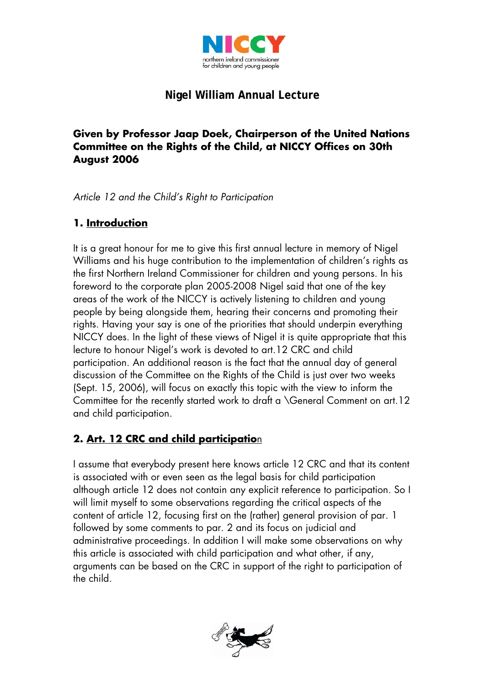

# **Nigel William Annual Lecture**

#### **Given by Professor Jaap Doek, Chairperson of the United Nations Committee on the Rights of the Child, at NICCY Offices on 30th August 2006**

*Article 12 and the Child's Right to Participation* 

## **1. Introduction**

It is a great honour for me to give this first annual lecture in memory of Nigel Williams and his huge contribution to the implementation of children's rights as the first Northern Ireland Commissioner for children and young persons. In his foreword to the corporate plan 2005-2008 Nigel said that one of the key areas of the work of the NICCY is actively listening to children and young people by being alongside them, hearing their concerns and promoting their rights. Having your say is one of the priorities that should underpin everything NICCY does. In the light of these views of Nigel it is quite appropriate that this lecture to honour Nigel's work is devoted to art.12 CRC and child participation. An additional reason is the fact that the annual day of general discussion of the Committee on the Rights of the Child is just over two weeks (Sept. 15, 2006), will focus on exactly this topic with the view to inform the Committee for the recently started work to draft a \General Comment on art.12 and child participation.

## **2. Art. 12 CRC and child participatio**n

I assume that everybody present here knows article 12 CRC and that its content is associated with or even seen as the legal basis for child participation although article 12 does not contain any explicit reference to participation. So I will limit myself to some observations regarding the critical aspects of the content of article 12, focusing first on the (rather) general provision of par. 1 followed by some comments to par. 2 and its focus on judicial and administrative proceedings. In addition I will make some observations on why this article is associated with child participation and what other, if any, arguments can be based on the CRC in support of the right to participation of the child.

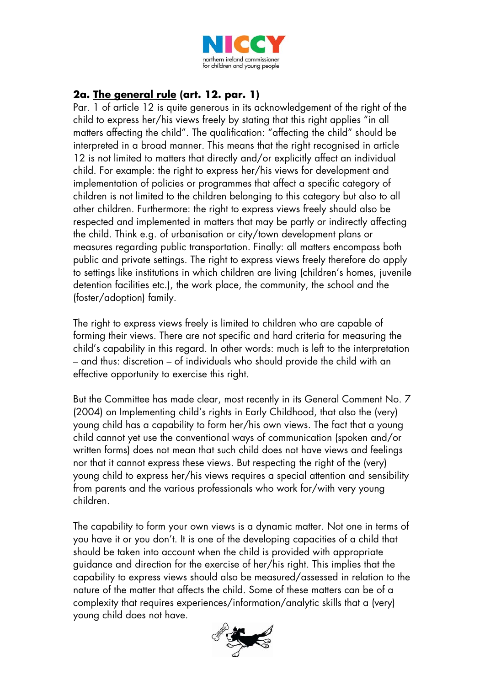

## **2a. The general rule (art. 12. par. 1)**

Par. 1 of article 12 is quite generous in its acknowledgement of the right of the child to express her/his views freely by stating that this right applies "in all matters affecting the child". The qualification: "affecting the child" should be interpreted in a broad manner. This means that the right recognised in article 12 is not limited to matters that directly and/or explicitly affect an individual child. For example: the right to express her/his views for development and implementation of policies or programmes that affect a specific category of children is not limited to the children belonging to this category but also to all other children. Furthermore: the right to express views freely should also be respected and implemented in matters that may be partly or indirectly affecting the child. Think e.g. of urbanisation or city/town development plans or measures regarding public transportation. Finally: all matters encompass both public and private settings. The right to express views freely therefore do apply to settings like institutions in which children are living (children's homes, juvenile detention facilities etc.), the work place, the community, the school and the (foster/adoption) family.

The right to express views freely is limited to children who are capable of forming their views. There are not specific and hard criteria for measuring the child's capability in this regard. In other words: much is left to the interpretation – and thus: discretion – of individuals who should provide the child with an effective opportunity to exercise this right.

But the Committee has made clear, most recently in its General Comment No. 7 (2004) on Implementing child's rights in Early Childhood, that also the (very) young child has a capability to form her/his own views. The fact that a young child cannot yet use the conventional ways of communication (spoken and/or written forms) does not mean that such child does not have views and feelings nor that it cannot express these views. But respecting the right of the (very) young child to express her/his views requires a special attention and sensibility from parents and the various professionals who work for/with very young children.

The capability to form your own views is a dynamic matter. Not one in terms of you have it or you don't. It is one of the developing capacities of a child that should be taken into account when the child is provided with appropriate guidance and direction for the exercise of her/his right. This implies that the capability to express views should also be measured/assessed in relation to the nature of the matter that affects the child. Some of these matters can be of a complexity that requires experiences/information/analytic skills that a (very) young child does not have.

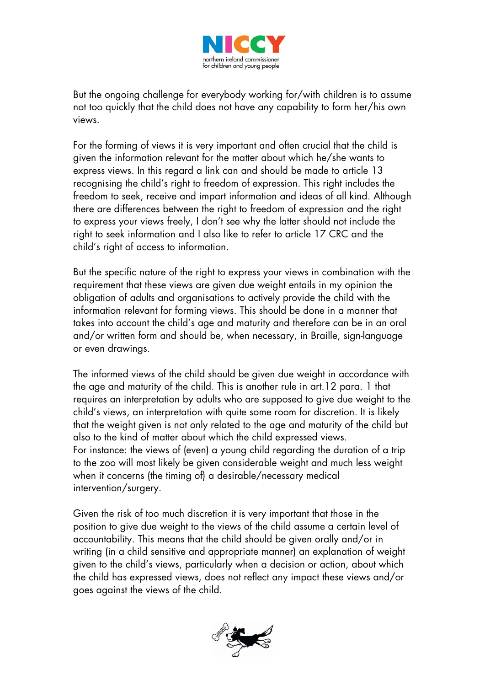

But the ongoing challenge for everybody working for/with children is to assume not too quickly that the child does not have any capability to form her/his own views.

For the forming of views it is very important and often crucial that the child is given the information relevant for the matter about which he/she wants to express views. In this regard a link can and should be made to article 13 recognising the child's right to freedom of expression. This right includes the freedom to seek, receive and impart information and ideas of all kind. Although there are differences between the right to freedom of expression and the right to express your views freely, I don't see why the latter should not include the right to seek information and I also like to refer to article 17 CRC and the child's right of access to information.

But the specific nature of the right to express your views in combination with the requirement that these views are given due weight entails in my opinion the obligation of adults and organisations to actively provide the child with the information relevant for forming views. This should be done in a manner that takes into account the child's age and maturity and therefore can be in an oral and/or written form and should be, when necessary, in Braille, sign-language or even drawings.

The informed views of the child should be given due weight in accordance with the age and maturity of the child. This is another rule in art.12 para. 1 that requires an interpretation by adults who are supposed to give due weight to the child's views, an interpretation with quite some room for discretion. It is likely that the weight given is not only related to the age and maturity of the child but also to the kind of matter about which the child expressed views. For instance: the views of (even) a young child regarding the duration of a trip to the zoo will most likely be given considerable weight and much less weight when it concerns (the timing of) a desirable/necessary medical intervention/surgery.

Given the risk of too much discretion it is very important that those in the position to give due weight to the views of the child assume a certain level of accountability. This means that the child should be given orally and/or in writing (in a child sensitive and appropriate manner) an explanation of weight given to the child's views, particularly when a decision or action, about which the child has expressed views, does not reflect any impact these views and/or goes against the views of the child.

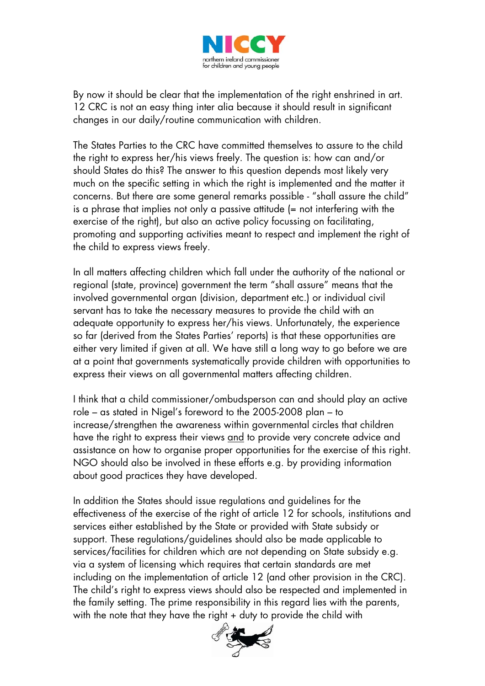

By now it should be clear that the implementation of the right enshrined in art. 12 CRC is not an easy thing inter alia because it should result in significant changes in our daily/routine communication with children.

The States Parties to the CRC have committed themselves to assure to the child the right to express her/his views freely. The question is: how can and/or should States do this? The answer to this question depends most likely very much on the specific setting in which the right is implemented and the matter it concerns. But there are some general remarks possible - "shall assure the child" is a phrase that implies not only a passive attitude (= not interfering with the exercise of the right), but also an active policy focussing on facilitating, promoting and supporting activities meant to respect and implement the right of the child to express views freely.

In all matters affecting children which fall under the authority of the national or regional (state, province) government the term "shall assure" means that the involved governmental organ (division, department etc.) or individual civil servant has to take the necessary measures to provide the child with an adequate opportunity to express her/his views. Unfortunately, the experience so far (derived from the States Parties' reports) is that these opportunities are either very limited if given at all. We have still a long way to go before we are at a point that governments systematically provide children with opportunities to express their views on all governmental matters affecting children.

I think that a child commissioner/ombudsperson can and should play an active role – as stated in Nigel's foreword to the 2005-2008 plan – to increase/strengthen the awareness within governmental circles that children have the right to express their views and to provide very concrete advice and assistance on how to organise proper opportunities for the exercise of this right. NGO should also be involved in these efforts e.g. by providing information about good practices they have developed.

In addition the States should issue regulations and guidelines for the effectiveness of the exercise of the right of article 12 for schools, institutions and services either established by the State or provided with State subsidy or support. These regulations/guidelines should also be made applicable to services/facilities for children which are not depending on State subsidy e.g. via a system of licensing which requires that certain standards are met including on the implementation of article 12 (and other provision in the CRC). The child's right to express views should also be respected and implemented in the family setting. The prime responsibility in this regard lies with the parents, with the note that they have the right + duty to provide the child with

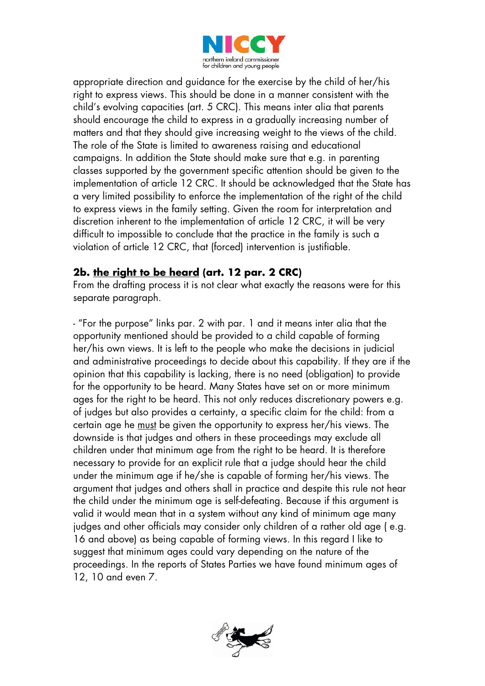

appropriate direction and guidance for the exercise by the child of her/his right to express views. This should be done in a manner consistent with the child's evolving capacities (art. 5 CRC). This means inter alia that parents should encourage the child to express in a gradually increasing number of matters and that they should give increasing weight to the views of the child. The role of the State is limited to awareness raising and educational campaigns. In addition the State should make sure that e.g. in parenting classes supported by the government specific attention should be given to the implementation of article 12 CRC. It should be acknowledged that the State has a very limited possibility to enforce the implementation of the right of the child to express views in the family setting. Given the room for interpretation and discretion inherent to the implementation of article 12 CRC, it will be very difficult to impossible to conclude that the practice in the family is such a violation of article 12 CRC, that (forced) intervention is justifiable.

#### **2b. the right to be heard (art. 12 par. 2 CRC)**

From the drafting process it is not clear what exactly the reasons were for this separate paragraph.

- "For the purpose" links par. 2 with par. 1 and it means inter alia that the opportunity mentioned should be provided to a child capable of forming her/his own views. It is left to the people who make the decisions in judicial and administrative proceedings to decide about this capability. If they are if the opinion that this capability is lacking, there is no need (obligation) to provide for the opportunity to be heard. Many States have set on or more minimum ages for the right to be heard. This not only reduces discretionary powers e.g. of judges but also provides a certainty, a specific claim for the child: from a certain age he must be given the opportunity to express her/his views. The downside is that judges and others in these proceedings may exclude all children under that minimum age from the right to be heard. It is therefore necessary to provide for an explicit rule that a judge should hear the child under the minimum age if he/she is capable of forming her/his views. The argument that judges and others shall in practice and despite this rule not hear the child under the minimum age is self-defeating. Because if this argument is valid it would mean that in a system without any kind of minimum age many judges and other officials may consider only children of a rather old age ( e.g. 16 and above) as being capable of forming views. In this regard I like to suggest that minimum ages could vary depending on the nature of the proceedings. In the reports of States Parties we have found minimum ages of 12, 10 and even 7.

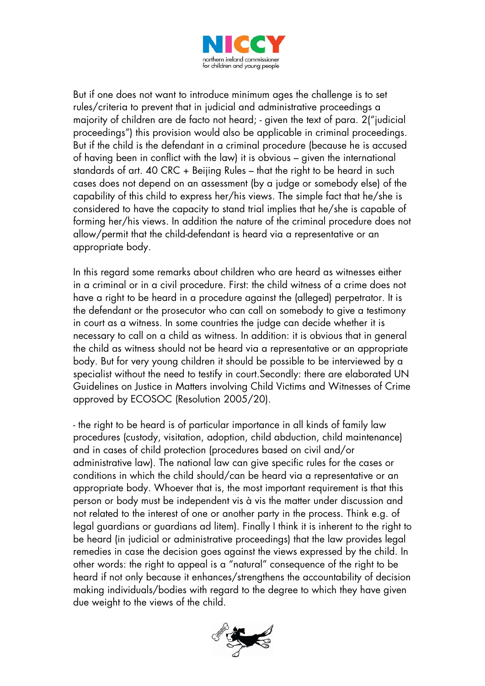

But if one does not want to introduce minimum ages the challenge is to set rules/criteria to prevent that in judicial and administrative proceedings a majority of children are de facto not heard; - given the text of para. 2("judicial proceedings") this provision would also be applicable in criminal proceedings. But if the child is the defendant in a criminal procedure (because he is accused of having been in conflict with the law) it is obvious – given the international standards of art. 40 CRC + Beijing Rules – that the right to be heard in such cases does not depend on an assessment (by a judge or somebody else) of the capability of this child to express her/his views. The simple fact that he/she is considered to have the capacity to stand trial implies that he/she is capable of forming her/his views. In addition the nature of the criminal procedure does not allow/permit that the child-defendant is heard via a representative or an appropriate body.

In this regard some remarks about children who are heard as witnesses either in a criminal or in a civil procedure. First: the child witness of a crime does not have a right to be heard in a procedure against the (alleged) perpetrator. It is the defendant or the prosecutor who can call on somebody to give a testimony in court as a witness. In some countries the judge can decide whether it is necessary to call on a child as witness. In addition: it is obvious that in general the child as witness should not be heard via a representative or an appropriate body. But for very young children it should be possible to be interviewed by a specialist without the need to testify in court.Secondly: there are elaborated UN Guidelines on Justice in Matters involving Child Victims and Witnesses of Crime approved by ECOSOC (Resolution 2005/20).

- the right to be heard is of particular importance in all kinds of family law procedures (custody, visitation, adoption, child abduction, child maintenance) and in cases of child protection (procedures based on civil and/or administrative law). The national law can give specific rules for the cases or conditions in which the child should/can be heard via a representative or an appropriate body. Whoever that is, the most important requirement is that this person or body must be independent vis à vis the matter under discussion and not related to the interest of one or another party in the process. Think e.g. of legal guardians or guardians ad litem). Finally I think it is inherent to the right to be heard (in judicial or administrative proceedings) that the law provides legal remedies in case the decision goes against the views expressed by the child. In other words: the right to appeal is a "natural" consequence of the right to be heard if not only because it enhances/strengthens the accountability of decision making individuals/bodies with regard to the degree to which they have given due weight to the views of the child.